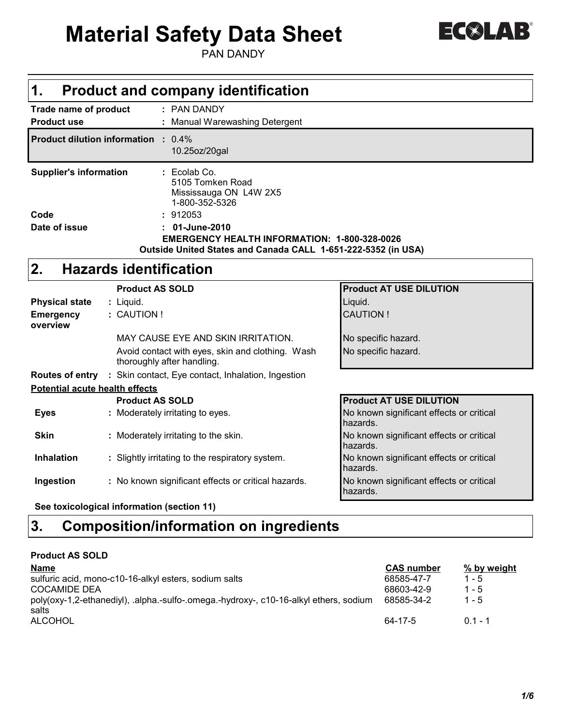# **Material Safety Data Sheet**

PAN DANDY

| 1.                                                 |                                      | <b>Product and company identification</b>                                      |                                                      |  |  |  |
|----------------------------------------------------|--------------------------------------|--------------------------------------------------------------------------------|------------------------------------------------------|--|--|--|
| <b>Trade name of product</b><br><b>Product use</b> |                                      | : PAN DANDY<br>: Manual Warewashing Detergent                                  |                                                      |  |  |  |
| <b>Product dilution information : 0.4%</b>         |                                      | 10.25oz/20gal                                                                  |                                                      |  |  |  |
| <b>Supplier's information</b>                      |                                      | $: Ecolab$ Co.<br>5105 Tomken Road<br>Mississauga ON L4W 2X5<br>1-800-352-5326 |                                                      |  |  |  |
| Code                                               |                                      | : 912053                                                                       |                                                      |  |  |  |
| Date of issue                                      |                                      | 01-June-2010                                                                   |                                                      |  |  |  |
|                                                    |                                      | <b>EMERGENCY HEALTH INFORMATION: 1-800-328-0026</b>                            |                                                      |  |  |  |
|                                                    |                                      | Outside United States and Canada CALL 1-651-222-5352 (in USA)                  |                                                      |  |  |  |
| 2.                                                 |                                      | <b>Hazards identification</b>                                                  |                                                      |  |  |  |
|                                                    |                                      | <b>Product AS SOLD</b>                                                         | <b>Product AT USE DILUTION</b>                       |  |  |  |
| <b>Physical state</b>                              |                                      | : Liquid.                                                                      | Liquid.                                              |  |  |  |
| <b>Emergency</b>                                   |                                      | : CAUTION !                                                                    | <b>CAUTION!</b>                                      |  |  |  |
| overview                                           |                                      |                                                                                |                                                      |  |  |  |
|                                                    |                                      | MAY CAUSE EYE AND SKIN IRRITATION.                                             | No specific hazard.                                  |  |  |  |
|                                                    |                                      | Avoid contact with eyes, skin and clothing. Wash<br>thoroughly after handling. | No specific hazard.                                  |  |  |  |
|                                                    |                                      | <b>Routes of entry</b> : Skin contact, Eye contact, Inhalation, Ingestion      |                                                      |  |  |  |
| <b>Potential acute health effects</b>              |                                      |                                                                                |                                                      |  |  |  |
|                                                    |                                      | <b>Product AS SOLD</b>                                                         | <b>Product AT USE DILUTION</b>                       |  |  |  |
| <b>Eyes</b>                                        |                                      | : Moderately irritating to eyes.                                               | No known significant effects or critical<br>hazards. |  |  |  |
| <b>Skin</b>                                        | : Moderately irritating to the skin. |                                                                                | No known significant effects or critical<br>hazards. |  |  |  |
| <b>Inhalation</b>                                  |                                      | : Slightly irritating to the respiratory system.                               | No known significant effects or critical<br>hazards. |  |  |  |
| Ingestion                                          |                                      | : No known significant effects or critical hazards.                            | No known significant effects or critical<br>hazards. |  |  |  |

**See toxicological information (section 11)**

### **Composition/information on ingredients 3.**

| <b>Product AS SOLD</b> |  |
|------------------------|--|
| <b>Name</b>            |  |

| <b>Name</b>                                                                           | <b>CAS number</b> | % by weight |
|---------------------------------------------------------------------------------------|-------------------|-------------|
| sulfuric acid, mono-c10-16-alkyl esters, sodium salts                                 | 68585-47-7        | $1 - 5$     |
| <b>COCAMIDE DEA</b>                                                                   | 68603-42-9        | $1 - 5$     |
| poly(oxy-1,2-ethanediyl), .alpha.-sulfo-.omega.-hydroxy-, c10-16-alkyl ethers, sodium | 68585-34-2        | $1 - 5$     |
| salts                                                                                 |                   |             |
| <b>ALCOHOL</b>                                                                        | 64-17-5           | $0.1 - 1$   |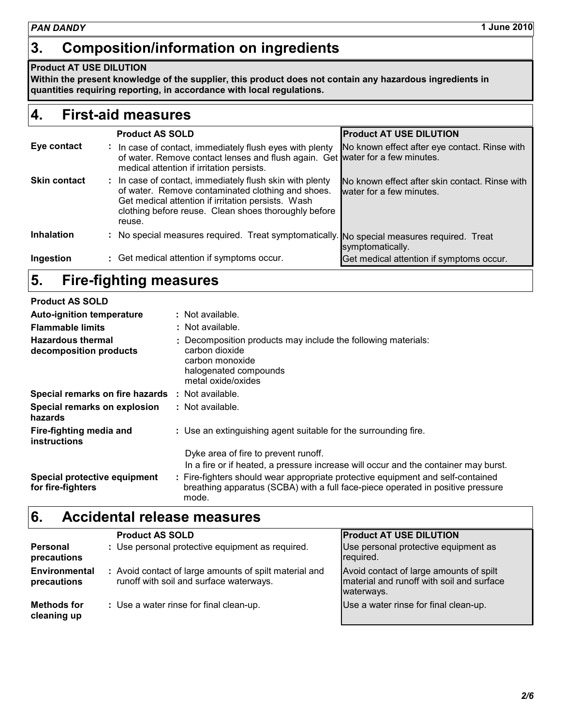### **Product AT USE DILUTION**

**Within the present knowledge of the supplier, this product does not contain any hazardous ingredients in quantities requiring reporting, in accordance with local regulations.**

### **First-aid measures 4.**

|                     |    | <b>Product AS SOLD</b>                                                                                                                                                                                                                | <b>Product AT USE DILUTION</b>                                             |
|---------------------|----|---------------------------------------------------------------------------------------------------------------------------------------------------------------------------------------------------------------------------------------|----------------------------------------------------------------------------|
| Eye contact         | ÷. | In case of contact, immediately flush eyes with plenty<br>of water. Remove contact lenses and flush again. Get water for a few minutes.<br>medical attention if irritation persists.                                                  | No known effect after eye contact. Rinse with                              |
| <b>Skin contact</b> |    | : In case of contact, immediately flush skin with plenty<br>of water. Remove contaminated clothing and shoes.<br>Get medical attention if irritation persists. Wash<br>clothing before reuse. Clean shoes thoroughly before<br>reuse. | No known effect after skin contact. Rinse with<br>water for a few minutes. |
| <b>Inhalation</b>   |    | : No special measures required. Treat symptomatically. No special measures required. Treat                                                                                                                                            | symptomatically.                                                           |
| Ingestion           |    | : Get medical attention if symptoms occur.                                                                                                                                                                                            | Get medical attention if symptoms occur.                                   |

### **Fire-fighting measures 5.**

| <b>Product AS SOLD</b>                                                                                                                 |  |                                                                                                                                                                             |
|----------------------------------------------------------------------------------------------------------------------------------------|--|-----------------------------------------------------------------------------------------------------------------------------------------------------------------------------|
| <b>Auto-ignition temperature</b>                                                                                                       |  | : Not available.                                                                                                                                                            |
| <b>Flammable limits</b>                                                                                                                |  | : Not available.                                                                                                                                                            |
| <b>Hazardous thermal</b><br>carbon dioxide<br>decomposition products<br>carbon monoxide<br>halogenated compounds<br>metal oxide/oxides |  | : Decomposition products may include the following materials:                                                                                                               |
| Special remarks on fire hazards                                                                                                        |  | : Not available.                                                                                                                                                            |
| Special remarks on explosion<br>hazards                                                                                                |  | : Not available.                                                                                                                                                            |
| Fire-fighting media and<br>instructions                                                                                                |  | : Use an extinguishing agent suitable for the surrounding fire.                                                                                                             |
|                                                                                                                                        |  | Dyke area of fire to prevent runoff.                                                                                                                                        |
|                                                                                                                                        |  | In a fire or if heated, a pressure increase will occur and the container may burst.                                                                                         |
| Special protective equipment<br>for fire-fighters                                                                                      |  | : Fire-fighters should wear appropriate protective equipment and self-contained<br>breathing apparatus (SCBA) with a full face-piece operated in positive pressure<br>mode. |

#### **Accidental release measures 6.**

|                                   | <b>Product AS SOLD</b>                                                                            | <b>Product AT USE DILUTION</b>                                                                     |
|-----------------------------------|---------------------------------------------------------------------------------------------------|----------------------------------------------------------------------------------------------------|
| <b>Personal</b><br>precautions    | : Use personal protective equipment as required.                                                  | Use personal protective equipment as<br>required.                                                  |
| Environmental<br>precautions      | : Avoid contact of large amounts of spilt material and<br>runoff with soil and surface waterways. | Avoid contact of large amounts of spilt<br>material and runoff with soil and surface<br>waterways. |
| <b>Methods for</b><br>cleaning up | : Use a water rinse for final clean-up.                                                           | Use a water rinse for final clean-up.                                                              |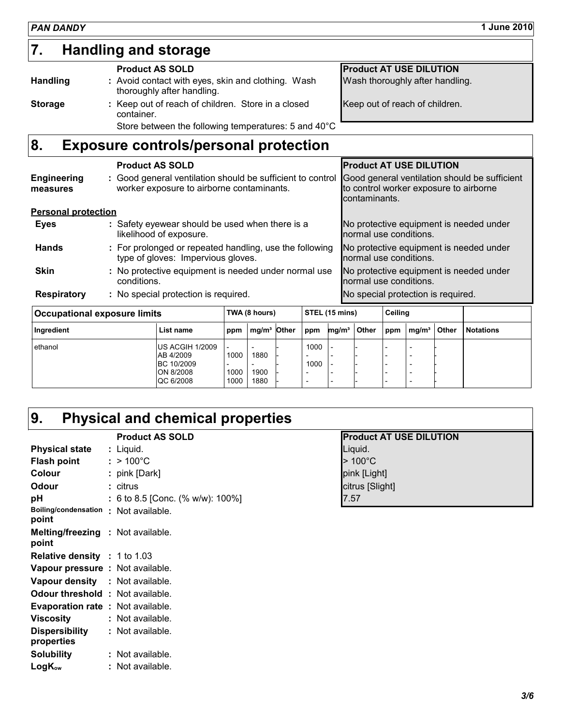#### : Keep out of reach of children. Store in a closed **||** container. Avoid contact with eyes, skin and clothing. Wash **:** thoroughly after handling. **Handling and storage 7. Handling Storage Product AS SOLD** Wash thoroughly after handling. Keep out of reach of children. **Product AT USE DILUTION**

Store between the following temperatures: 5 and 40°C

| 8.                         | <b>Exposure controls/personal protection</b>                                                            |                                                                                                          |
|----------------------------|---------------------------------------------------------------------------------------------------------|----------------------------------------------------------------------------------------------------------|
|                            | <b>Product AS SOLD</b>                                                                                  | <b>Product AT USE DILUTION</b>                                                                           |
| Engineering<br>measures    | : Good general ventilation should be sufficient to control<br>worker exposure to airborne contaminants. | Good general ventilation should be sufficient<br>to control worker exposure to airborne<br>contaminants. |
| <b>Personal protection</b> |                                                                                                         |                                                                                                          |
| <b>Eyes</b>                | : Safety eyewear should be used when there is a<br>likelihood of exposure.                              | No protective equipment is needed under<br>normal use conditions.                                        |
| <b>Hands</b>               | : For prolonged or repeated handling, use the following<br>type of gloves: Impervious gloves.           | No protective equipment is needed under<br>normal use conditions.                                        |
| <b>Skin</b>                | : No protective equipment is needed under normal use<br>conditions.                                     | No protective equipment is needed under<br>normal use conditions.                                        |

No special protection is required. **: Respiratory**

| <b>Occupational exposure limits</b> |                                                                             |                                                  | TWA (8 hours)                                         |              |                                                                                                  | STEL (15 mins)    |       |     | Ceiling           |              |                  |
|-------------------------------------|-----------------------------------------------------------------------------|--------------------------------------------------|-------------------------------------------------------|--------------|--------------------------------------------------------------------------------------------------|-------------------|-------|-----|-------------------|--------------|------------------|
| Ingredient                          | List name                                                                   | ppm                                              | mg/m <sup>3</sup>                                     | <b>Other</b> | ppm                                                                                              | mg/m <sup>3</sup> | Other | ppm | mg/m <sup>3</sup> | <b>Other</b> | <b>Notations</b> |
| ethanol                             | <b>US ACGIH 1/2009</b><br>AB 4/2009<br>BC 10/2009<br>ON 8/2008<br>QC 6/2008 | $\overline{\phantom{0}}$<br>1000<br>1000<br>1000 | -<br>1880<br>$\overline{\phantom{0}}$<br>1900<br>1880 |              | 1000<br>$\overline{\phantom{0}}$<br>1000<br>$\overline{\phantom{0}}$<br>$\overline{\phantom{0}}$ |                   |       |     |                   |              |                  |

## **Physical and chemical properties 9.**

|                                                   | <b>Product AS SOLD</b>           |
|---------------------------------------------------|----------------------------------|
| <b>Physical state : Liquid.</b>                   |                                  |
| Flash point $:$ > 100 $^{\circ}$ C                |                                  |
| Colour                                            | : pink [Dark]                    |
| Odour                                             | : citrus                         |
| рH                                                | : 6 to 8.5 [Conc. (% w/w): 100%] |
| Boiling/condensation : Not available.<br>point    |                                  |
| <b>Melting/freezing : Not available.</b><br>point |                                  |
| <b>Relative density</b> : 1 to 1.03               |                                  |
| Vapour pressure : Not available.                  |                                  |
| <b>Vapour density : Not available.</b>            |                                  |
| <b>Odour threshold : Not available.</b>           |                                  |
| <b>Evaporation rate: Not available.</b>           |                                  |
| <b>Viscosity</b>                                  | : Not available.                 |
| Dispersibility                                    | : Not available.                 |
| properties                                        |                                  |
| <b>Solubility</b>                                 | : Not available.                 |
| $LogK_{ow}$                                       | : Not available.                 |
|                                                   |                                  |

| <b>Product AS SOLD</b>         | <b>Product AT USE DILUTION</b> |
|--------------------------------|--------------------------------|
| Liquid.                        | Liquid.                        |
| $>100^{\circ}$ C               | $>100^{\circ}$ C               |
| pink [Dark]                    | pink [Light]                   |
| citrus                         | citrus [Slight]                |
| 6 to 8.5 [Conc. (% w/w): 100%] | 17.57                          |

No special protection is required.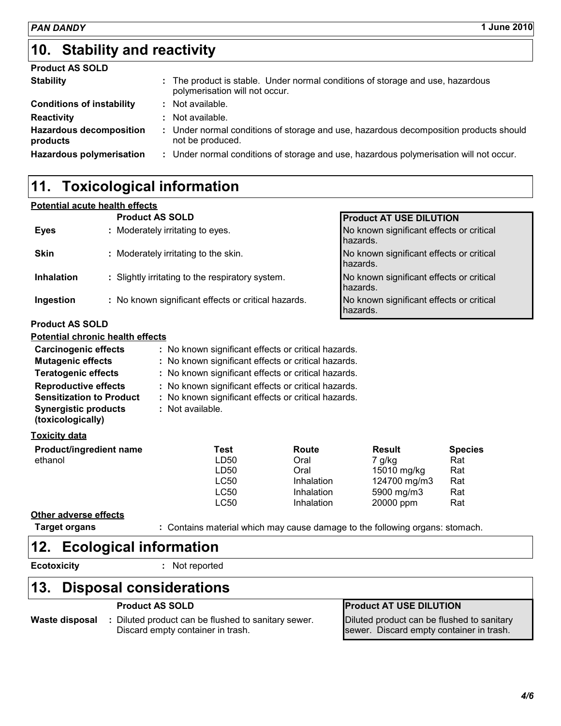### **Stability and reactivity 10.**

| <b>Product AS SOLD</b>                     |                                                                                                                  |
|--------------------------------------------|------------------------------------------------------------------------------------------------------------------|
| <b>Stability</b>                           | : The product is stable. Under normal conditions of storage and use, hazardous<br>polymerisation will not occur. |
| <b>Conditions of instability</b>           | : Not available.                                                                                                 |
| <b>Reactivity</b>                          | : Not available.                                                                                                 |
| <b>Hazardous decomposition</b><br>products | : Under normal conditions of storage and use, hazardous decomposition products should<br>not be produced.        |
| <b>Hazardous polymerisation</b>            | : Under normal conditions of storage and use, hazardous polymerisation will not occur.                           |
|                                            |                                                                                                                  |

## **11. Toxicological information**

#### **Potential acute health effects**

| No known significant effects or critical |
|------------------------------------------|
| No known significant effects or critical |
| No known significant effects or critical |
| No known significant effects or critical |
|                                          |

#### **Product AS SOLD**

| <b>Potential chronic health effects</b> |                                                     |
|-----------------------------------------|-----------------------------------------------------|
| <b>Carcinogenic effects</b>             | : No known significant effects or critical hazards. |
| <b>Mutagenic effects</b>                | : No known significant effects or critical hazards. |

| <b>Mutagenic effects</b><br><b>Teratogenic effects</b>                                                             | : No known significant effects or critical hazards.<br>: No known significant effects or critical hazards.                     |            |               |                |  |
|--------------------------------------------------------------------------------------------------------------------|--------------------------------------------------------------------------------------------------------------------------------|------------|---------------|----------------|--|
| <b>Reproductive effects</b><br><b>Sensitization to Product</b><br><b>Synergistic products</b><br>(toxicologically) | : No known significant effects or critical hazards.<br>: No known significant effects or critical hazards.<br>: Not available. |            |               |                |  |
| <b>Toxicity data</b>                                                                                               |                                                                                                                                |            |               |                |  |
| <b>Product/ingredient name</b>                                                                                     | Test                                                                                                                           | Route      | <b>Result</b> | <b>Species</b> |  |
| ethanol                                                                                                            | LD50                                                                                                                           | Oral       | 7 g/kg        | Rat            |  |
|                                                                                                                    | LD50                                                                                                                           | Oral       | 15010 mg/kg   | Rat            |  |
|                                                                                                                    | LC50                                                                                                                           | Inhalation | 124700 mg/m3  | Rat            |  |
|                                                                                                                    | LC50                                                                                                                           | Inhalation | 5900 mg/m3    | Rat            |  |

#### **Other adverse effects**

**Target organs :** Contains material which may cause damage to the following organs: stomach.

LC50 Inhalation 20000 ppm Rat

### **Ecological information 12.**

**Ecotoxicity :**

: Not reported

### **Disposal considerations 13.**

Diluted product can be flushed to sanitary sewer. **:** Discard empty container in trash. **Waste disposal**

### **Product AS SOLD Product AT USE DILUTION**

Diluted product can be flushed to sanitary sewer. Discard empty container in trash.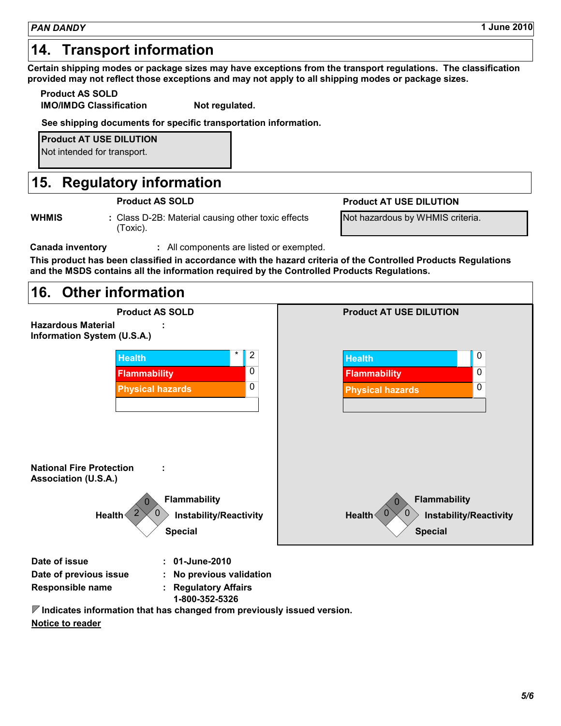### **14. Transport information**

**Certain shipping modes or package sizes may have exceptions from the transport regulations. The classification provided may not reflect those exceptions and may not apply to all shipping modes or package sizes.**

**Product AS SOLD**

**IMO/IMDG Classification Mot regulated.** 

**See shipping documents for specific transportation information.**

**Product AT USE DILUTION**

Not intended for transport.

## **Regulatory information 15.**

**WHMIS** : Class D-2B: Material causing other toxic effects (Toxic).

#### **Product AS SOLD Product AT USE DILUTION**

Not hazardous by WHMIS criteria.

**Canada inventory :** All components are listed or exempted.

**This product has been classified in accordance with the hazard criteria of the Controlled Products Regulations and the MSDS contains all the information required by the Controlled Products Regulations.**